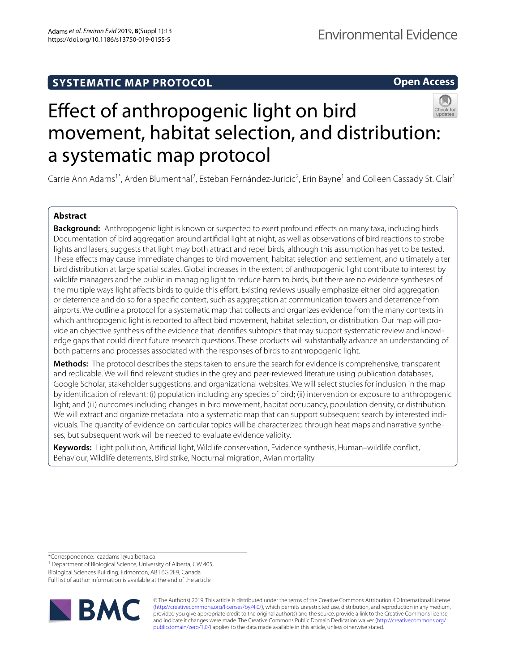# **SYSTEMATIC MAP PROTOCOL**

**Open Access**



# Efect of anthropogenic light on bird movement, habitat selection, and distribution: a systematic map protocol

Carrie Ann Adams<sup>1\*</sup>, Arden Blumenthal<sup>2</sup>, Esteban Fernández-Juricic<sup>2</sup>, Erin Bayne<sup>1</sup> and Colleen Cassady St. Clair<sup>1</sup>

# **Abstract**

**Background:** Anthropogenic light is known or suspected to exert profound efects on many taxa, including birds. Documentation of bird aggregation around artifcial light at night, as well as observations of bird reactions to strobe lights and lasers, suggests that light may both attract and repel birds, although this assumption has yet to be tested. These efects may cause immediate changes to bird movement, habitat selection and settlement, and ultimately alter bird distribution at large spatial scales. Global increases in the extent of anthropogenic light contribute to interest by wildlife managers and the public in managing light to reduce harm to birds, but there are no evidence syntheses of the multiple ways light affects birds to guide this effort. Existing reviews usually emphasize either bird aggregation or deterrence and do so for a specifc context, such as aggregation at communication towers and deterrence from airports. We outline a protocol for a systematic map that collects and organizes evidence from the many contexts in which anthropogenic light is reported to affect bird movement, habitat selection, or distribution. Our map will provide an objective synthesis of the evidence that identifies subtopics that may support systematic review and knowledge gaps that could direct future research questions. These products will substantially advance an understanding of both patterns and processes associated with the responses of birds to anthropogenic light.

**Methods:** The protocol describes the steps taken to ensure the search for evidence is comprehensive, transparent and replicable. We will fnd relevant studies in the grey and peer-reviewed literature using publication databases, Google Scholar, stakeholder suggestions, and organizational websites. We will select studies for inclusion in the map by identifcation of relevant: (i) population including any species of bird; (ii) intervention or exposure to anthropogenic light; and (iii) outcomes including changes in bird movement, habitat occupancy, population density, or distribution. We will extract and organize metadata into a systematic map that can support subsequent search by interested individuals. The quantity of evidence on particular topics will be characterized through heat maps and narrative synthe‑ ses, but subsequent work will be needed to evaluate evidence validity.

**Keywords:** Light pollution, Artifcial light, Wildlife conservation, Evidence synthesis, Human–wildlife confict, Behaviour, Wildlife deterrents, Bird strike, Nocturnal migration, Avian mortality

\*Correspondence: caadams1@ualberta.ca

<sup>1</sup> Department of Biological Science, University of Alberta, CW 405,

Biological Sciences Building, Edmonton, AB T6G 2E9, Canada

Full list of author information is available at the end of the article



© The Author(s) 2019. This article is distributed under the terms of the Creative Commons Attribution 4.0 International License [\(http://creativecommons.org/licenses/by/4.0/\)](http://creativecommons.org/licenses/by/4.0/), which permits unrestricted use, distribution, and reproduction in any medium, provided you give appropriate credit to the original author(s) and the source, provide a link to the Creative Commons license, and indicate if changes were made. The Creative Commons Public Domain Dedication waiver ([http://creativecommons.org/](http://creativecommons.org/publicdomain/zero/1.0/) [publicdomain/zero/1.0/](http://creativecommons.org/publicdomain/zero/1.0/)) applies to the data made available in this article, unless otherwise stated.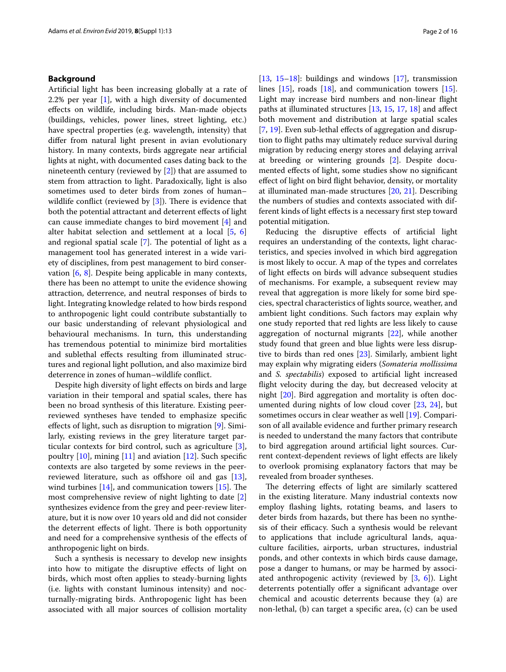# **Background**

Artifcial light has been increasing globally at a rate of 2.2% per year [\[1](#page-13-0)], with a high diversity of documented efects on wildlife, including birds. Man-made objects (buildings, vehicles, power lines, street lighting, etc.) have spectral properties (e.g. wavelength, intensity) that difer from natural light present in avian evolutionary history. In many contexts, birds aggregate near artifcial lights at night, with documented cases dating back to the nineteenth century (reviewed by [[2\]](#page-14-0)) that are assumed to stem from attraction to light. Paradoxically, light is also sometimes used to deter birds from zones of human– wildlife conflict (reviewed by  $[3]$  $[3]$ ). There is evidence that both the potential attractant and deterrent efects of light can cause immediate changes to bird movement [\[4](#page-14-2)] and alter habitat selection and settlement at a local [[5](#page-14-3), [6](#page-14-4)] and regional spatial scale  $[7]$  $[7]$ . The potential of light as a management tool has generated interest in a wide variety of disciplines, from pest management to bird conservation [[6](#page-14-4), [8\]](#page-14-6). Despite being applicable in many contexts, there has been no attempt to unite the evidence showing attraction, deterrence, and neutral responses of birds to light. Integrating knowledge related to how birds respond to anthropogenic light could contribute substantially to our basic understanding of relevant physiological and behavioural mechanisms. In turn, this understanding has tremendous potential to minimize bird mortalities and sublethal efects resulting from illuminated structures and regional light pollution, and also maximize bird deterrence in zones of human–wildlife confict.

Despite high diversity of light efects on birds and large variation in their temporal and spatial scales, there has been no broad synthesis of this literature. Existing peerreviewed syntheses have tended to emphasize specifc effects of light, such as disruption to migration [\[9](#page-14-7)]. Similarly, existing reviews in the grey literature target particular contexts for bird control, such as agriculture [\[3](#page-14-1)], poultry [[10\]](#page-14-8), mining [\[11](#page-14-9)] and aviation [[12\]](#page-14-10). Such specifc contexts are also targeted by some reviews in the peer-reviewed literature, such as offshore oil and gas [\[13](#page-14-11)], wind turbines  $[14]$  $[14]$ , and communication towers  $[15]$ . The most comprehensive review of night lighting to date [\[2](#page-14-0)] synthesizes evidence from the grey and peer-review literature, but it is now over 10 years old and did not consider the deterrent effects of light. There is both opportunity and need for a comprehensive synthesis of the efects of anthropogenic light on birds.

Such a synthesis is necessary to develop new insights into how to mitigate the disruptive efects of light on birds, which most often applies to steady-burning lights (i.e. lights with constant luminous intensity) and nocturnally-migrating birds. Anthropogenic light has been associated with all major sources of collision mortality [[13,](#page-14-11) [15](#page-14-13)[–18](#page-14-14)]: buildings and windows  $[17]$  $[17]$ , transmission lines [\[15\]](#page-14-13), roads [[18](#page-14-14)], and communication towers [\[15](#page-14-13)]. Light may increase bird numbers and non-linear fight paths at illuminated structures [\[13](#page-14-11), [15](#page-14-13), [17](#page-14-15), [18\]](#page-14-14) and afect both movement and distribution at large spatial scales [[7,](#page-14-5) [19](#page-14-16)]. Even sub-lethal effects of aggregation and disruption to fight paths may ultimately reduce survival during migration by reducing energy stores and delaying arrival at breeding or wintering grounds [[2\]](#page-14-0). Despite documented efects of light, some studies show no signifcant efect of light on bird fight behavior, density, or mortality at illuminated man-made structures [\[20](#page-14-17), [21](#page-14-18)]. Describing the numbers of studies and contexts associated with different kinds of light efects is a necessary frst step toward potential mitigation.

Reducing the disruptive efects of artifcial light requires an understanding of the contexts, light characteristics, and species involved in which bird aggregation is most likely to occur. A map of the types and correlates of light efects on birds will advance subsequent studies of mechanisms. For example, a subsequent review may reveal that aggregation is more likely for some bird species, spectral characteristics of lights source, weather, and ambient light conditions. Such factors may explain why one study reported that red lights are less likely to cause aggregation of nocturnal migrants [[22\]](#page-14-19), while another study found that green and blue lights were less disruptive to birds than red ones [\[23\]](#page-14-20). Similarly, ambient light may explain why migrating eiders (*Somateria mollissima* and *S. spectabilis*) exposed to artifcial light increased fight velocity during the day, but decreased velocity at night [[20\]](#page-14-17). Bird aggregation and mortality is often documented during nights of low cloud cover [\[23](#page-14-20), [24\]](#page-14-21), but sometimes occurs in clear weather as well [\[19\]](#page-14-16). Comparison of all available evidence and further primary research is needed to understand the many factors that contribute to bird aggregation around artifcial light sources. Current context-dependent reviews of light efects are likely to overlook promising explanatory factors that may be revealed from broader syntheses.

The deterring effects of light are similarly scattered in the existing literature. Many industrial contexts now employ fashing lights, rotating beams, and lasers to deter birds from hazards, but there has been no synthesis of their efficacy. Such a synthesis would be relevant to applications that include agricultural lands, aquaculture facilities, airports, urban structures, industrial ponds, and other contexts in which birds cause damage, pose a danger to humans, or may be harmed by associated anthropogenic activity (reviewed by [\[3](#page-14-1), [6\]](#page-14-4)). Light deterrents potentially offer a significant advantage over chemical and acoustic deterrents because they (a) are non-lethal, (b) can target a specifc area, (c) can be used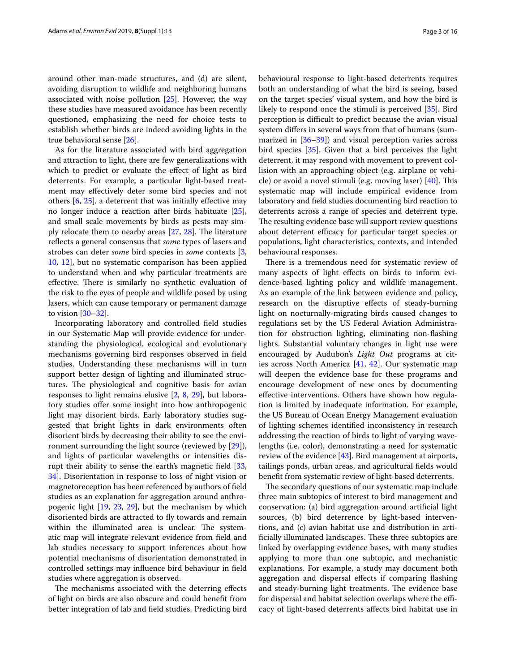around other man-made structures, and (d) are silent, avoiding disruption to wildlife and neighboring humans associated with noise pollution [[25](#page-14-22)]. However, the way these studies have measured avoidance has been recently questioned, emphasizing the need for choice tests to establish whether birds are indeed avoiding lights in the true behavioral sense [\[26](#page-14-23)].

As for the literature associated with bird aggregation and attraction to light, there are few generalizations with which to predict or evaluate the effect of light as bird deterrents. For example, a particular light-based treatment may efectively deter some bird species and not others [[6,](#page-14-4) [25\]](#page-14-22), a deterrent that was initially efective may no longer induce a reaction after birds habituate [\[25](#page-14-22)], and small scale movements by birds as pests may simply relocate them to nearby areas  $[27, 28]$  $[27, 28]$  $[27, 28]$  $[27, 28]$ . The literature reflects a general consensus that *some* types of lasers and strobes can deter *some* bird species in *some* contexts [\[3](#page-14-1), [10,](#page-14-8) [12](#page-14-10)], but no systematic comparison has been applied to understand when and why particular treatments are effective. There is similarly no synthetic evaluation of the risk to the eyes of people and wildlife posed by using lasers, which can cause temporary or permanent damage to vision [\[30](#page-14-26)–[32\]](#page-14-27).

Incorporating laboratory and controlled feld studies in our Systematic Map will provide evidence for understanding the physiological, ecological and evolutionary mechanisms governing bird responses observed in feld studies. Understanding these mechanisms will in turn support better design of lighting and illuminated structures. The physiological and cognitive basis for avian responses to light remains elusive [\[2](#page-14-0), [8,](#page-14-6) [29](#page-14-28)], but laboratory studies offer some insight into how anthropogenic light may disorient birds. Early laboratory studies suggested that bright lights in dark environments often disorient birds by decreasing their ability to see the environment surrounding the light source (reviewed by [\[29\]](#page-14-28)), and lights of particular wavelengths or intensities disrupt their ability to sense the earth's magnetic feld [\[33](#page-14-29), [34\]](#page-14-30). Disorientation in response to loss of night vision or magnetoreception has been referenced by authors of feld studies as an explanation for aggregation around anthropogenic light [[19,](#page-14-16) [23](#page-14-20), [29\]](#page-14-28), but the mechanism by which disoriented birds are attracted to fy towards and remain within the illuminated area is unclear. The systematic map will integrate relevant evidence from feld and lab studies necessary to support inferences about how potential mechanisms of disorientation demonstrated in controlled settings may infuence bird behaviour in feld studies where aggregation is observed.

The mechanisms associated with the deterring effects of light on birds are also obscure and could beneft from better integration of lab and feld studies. Predicting bird behavioural response to light-based deterrents requires both an understanding of what the bird is seeing, based on the target species' visual system, and how the bird is likely to respond once the stimuli is perceived [[35\]](#page-14-31). Bird perception is difficult to predict because the avian visual system difers in several ways from that of humans (summarized in  $[36-39]$  $[36-39]$  $[36-39]$ ) and visual perception varies across bird species [\[35](#page-14-31)]. Given that a bird perceives the light deterrent, it may respond with movement to prevent collision with an approaching object (e.g. airplane or vehicle) or avoid a novel stimuli (e.g. moving laser)  $[40]$  $[40]$ . This systematic map will include empirical evidence from laboratory and feld studies documenting bird reaction to deterrents across a range of species and deterrent type. The resulting evidence base will support review questions about deterrent efficacy for particular target species or populations, light characteristics, contexts, and intended behavioural responses.

There is a tremendous need for systematic review of many aspects of light efects on birds to inform evidence-based lighting policy and wildlife management. As an example of the link between evidence and policy, research on the disruptive efects of steady-burning light on nocturnally-migrating birds caused changes to regulations set by the US Federal Aviation Administration for obstruction lighting, eliminating non-fashing lights. Substantial voluntary changes in light use were encouraged by Audubon's *Light Out* programs at cities across North America [\[41,](#page-14-35) [42\]](#page-14-36). Our systematic map will deepen the evidence base for these programs and encourage development of new ones by documenting efective interventions. Others have shown how regulation is limited by inadequate information. For example, the US Bureau of Ocean Energy Management evaluation of lighting schemes identifed inconsistency in research addressing the reaction of birds to light of varying wavelengths (i.e. color), demonstrating a need for systematic review of the evidence [\[43\]](#page-14-37). Bird management at airports, tailings ponds, urban areas, and agricultural felds would beneft from systematic review of light-based deterrents.

The secondary questions of our systematic map include three main subtopics of interest to bird management and conservation: (a) bird aggregation around artifcial light sources, (b) bird deterrence by light-based interventions, and (c) avian habitat use and distribution in artificially illuminated landscapes. These three subtopics are linked by overlapping evidence bases, with many studies applying to more than one subtopic, and mechanistic explanations. For example, a study may document both aggregation and dispersal efects if comparing fashing and steady-burning light treatments. The evidence base for dispersal and habitat selection overlaps where the efficacy of light-based deterrents afects bird habitat use in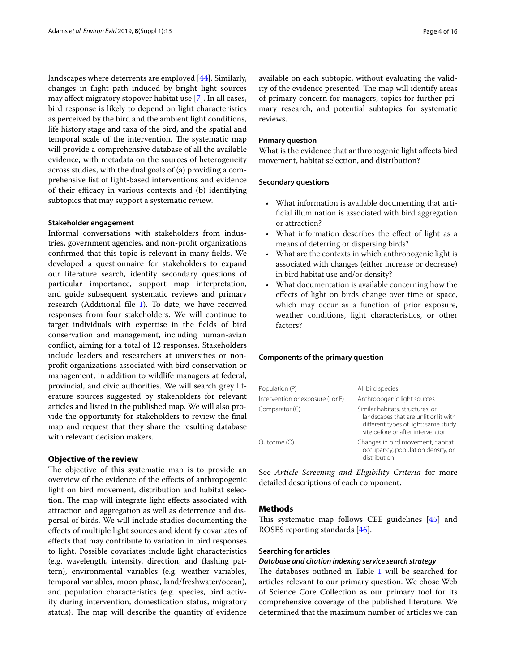landscapes where deterrents are employed [[44\]](#page-14-38). Similarly, changes in fight path induced by bright light sources may afect migratory stopover habitat use [\[7](#page-14-5)]. In all cases, bird response is likely to depend on light characteristics as perceived by the bird and the ambient light conditions, life history stage and taxa of the bird, and the spatial and temporal scale of the intervention. The systematic map will provide a comprehensive database of all the available evidence, with metadata on the sources of heterogeneity across studies, with the dual goals of (a) providing a comprehensive list of light-based interventions and evidence of their efficacy in various contexts and (b) identifying subtopics that may support a systematic review.

#### **Stakeholder engagement**

Informal conversations with stakeholders from industries, government agencies, and non-proft organizations confrmed that this topic is relevant in many felds. We developed a questionnaire for stakeholders to expand our literature search, identify secondary questions of particular importance, support map interpretation, and guide subsequent systematic reviews and primary research (Additional fle [1\)](#page-13-1). To date, we have received responses from four stakeholders. We will continue to target individuals with expertise in the felds of bird conservation and management, including human-avian confict, aiming for a total of 12 responses. Stakeholders include leaders and researchers at universities or nonproft organizations associated with bird conservation or management, in addition to wildlife managers at federal, provincial, and civic authorities. We will search grey literature sources suggested by stakeholders for relevant articles and listed in the published map. We will also provide the opportunity for stakeholders to review the fnal map and request that they share the resulting database with relevant decision makers.

# **Objective of the review**

The objective of this systematic map is to provide an overview of the evidence of the efects of anthropogenic light on bird movement, distribution and habitat selection. The map will integrate light effects associated with attraction and aggregation as well as deterrence and dispersal of birds. We will include studies documenting the efects of multiple light sources and identify covariates of efects that may contribute to variation in bird responses to light. Possible covariates include light characteristics (e.g. wavelength, intensity, direction, and fashing pattern), environmental variables (e.g. weather variables, temporal variables, moon phase, land/freshwater/ocean), and population characteristics (e.g. species, bird activity during intervention, domestication status, migratory status). The map will describe the quantity of evidence available on each subtopic, without evaluating the validity of the evidence presented. The map will identify areas of primary concern for managers, topics for further primary research, and potential subtopics for systematic reviews.

#### **Primary question**

What is the evidence that anthropogenic light afects bird movement, habitat selection, and distribution?

#### **Secondary questions**

- What information is available documenting that artifcial illumination is associated with bird aggregation or attraction?
- What information describes the effect of light as a means of deterring or dispersing birds?
- What are the contexts in which anthropogenic light is associated with changes (either increase or decrease) in bird habitat use and/or density?
- What documentation is available concerning how the efects of light on birds change over time or space, which may occur as a function of prior exposure, weather conditions, light characteristics, or other factors?

#### **Components of the primary question**

| All bird species                                                                                                                                       |
|--------------------------------------------------------------------------------------------------------------------------------------------------------|
| Anthropogenic light sources                                                                                                                            |
| Similar habitats, structures, or<br>landscapes that are unlit or lit with<br>different types of light; same study<br>site before or after intervention |
| Changes in bird movement, habitat<br>occupancy, population density, or<br>distribution                                                                 |
|                                                                                                                                                        |

See *Article Screening and Eligibility Criteria* for more detailed descriptions of each component.

# **Methods**

This systematic map follows CEE guidelines  $[45]$  $[45]$  and ROSES reporting standards [[46](#page-15-0)].

# **Searching for articles**

# *Database and citation indexing service search strategy*

The databases outlined in Table  $1$  will be searched for articles relevant to our primary question. We chose Web of Science Core Collection as our primary tool for its comprehensive coverage of the published literature. We determined that the maximum number of articles we can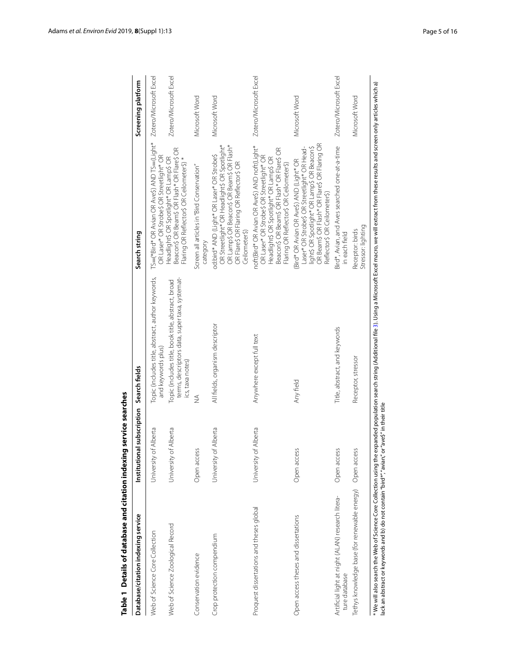| TS=(*Bird* OR Avian OR Ave\$) AND TS=(Light*<br>OR Beam\$ OR Flash* OR Flare\$ OR Flaring OR<br>OR Streetlight* OR Headlight\$ OR Spotlight*<br>OR Lamp\$ OR Beacon\$ OR Beam\$ OR Flash*<br>noft(Bird* OR Avian OR Ave\$) AND noft(Light*<br>Bird*, Avian, and Aves searched one-at-a-time<br>light\$ OR Spotlight* OR Lamp\$ OR Beacon\$<br>Laser* OR Strobe\$ OR Streetlight* OR Head-<br>Beacon\$ OR Beam\$ OR Flash* OR Flare\$ OR<br>Beacon\$ OR Beam\$ OR Flash* OR Flare\$ OR<br>od:bird* AND (Light* OR Laser* OR Strobe\$<br>OR Laser* OR Strobe\$ OR Streetlight* OR<br>OR Laser* OR Strobe\$ OR Streetlight* OR<br>Headlight\$ OR Spotlight* OR Lamp\$ OR<br>Headlight\$ OR Spotlight* OR Lamp\$ OR<br>Flaring OR Reflector\$ OR Ceilometer\$) *<br>(Bird* OR Avian OR Ave\$) AND (Light* OR<br>OR Flare\$ OR Flaring OR Reflector\$ OR<br>Flaring OR Reflector\$ OR Ceilometer\$)<br>Screen all articles in "Bird Conservation"<br>Reflector\$ OR Ceilometer\$)<br>Leilometer\$)<br>in each field<br>category<br>Topic (includes title, abstract, author keywords,<br>terms, descriptors data, super taxa, systemat-<br>Topic (includes title, book title, abstract, broad<br>All fields, organism descriptor<br>Title, abstract, and keywords<br>Anywhere except full text<br>and keywords plus)<br>ics, taxa notes)<br>Any field<br>≸<br>University of Alberta<br>University of Alberta<br>University of Alberta<br>University of Alberta<br>Open access<br>Open access<br>Open access<br>Artificial light at night (ALAN) research litera-<br>Proquest dissertations and theses global<br>Open access theses and dissertations<br>Web of Science Zoological Record<br>Web of Science Core Collection<br>Crop protection compendium<br>Conservation evidence<br>ture database | Database/citation indexing service                       | Institutional subscription | Search fields      | Search string   | Screening platform     |
|----------------------------------------------------------------------------------------------------------------------------------------------------------------------------------------------------------------------------------------------------------------------------------------------------------------------------------------------------------------------------------------------------------------------------------------------------------------------------------------------------------------------------------------------------------------------------------------------------------------------------------------------------------------------------------------------------------------------------------------------------------------------------------------------------------------------------------------------------------------------------------------------------------------------------------------------------------------------------------------------------------------------------------------------------------------------------------------------------------------------------------------------------------------------------------------------------------------------------------------------------------------------------------------------------------------------------------------------------------------------------------------------------------------------------------------------------------------------------------------------------------------------------------------------------------------------------------------------------------------------------------------------------------------------------------------------------------------------------------------------------------------------------------------------|----------------------------------------------------------|----------------------------|--------------------|-----------------|------------------------|
|                                                                                                                                                                                                                                                                                                                                                                                                                                                                                                                                                                                                                                                                                                                                                                                                                                                                                                                                                                                                                                                                                                                                                                                                                                                                                                                                                                                                                                                                                                                                                                                                                                                                                                                                                                                              |                                                          |                            |                    |                 | Zotero/Microsoft Excel |
|                                                                                                                                                                                                                                                                                                                                                                                                                                                                                                                                                                                                                                                                                                                                                                                                                                                                                                                                                                                                                                                                                                                                                                                                                                                                                                                                                                                                                                                                                                                                                                                                                                                                                                                                                                                              |                                                          |                            |                    |                 | Zotero/Microsoft Excel |
|                                                                                                                                                                                                                                                                                                                                                                                                                                                                                                                                                                                                                                                                                                                                                                                                                                                                                                                                                                                                                                                                                                                                                                                                                                                                                                                                                                                                                                                                                                                                                                                                                                                                                                                                                                                              |                                                          |                            |                    |                 | Microsoft Word         |
|                                                                                                                                                                                                                                                                                                                                                                                                                                                                                                                                                                                                                                                                                                                                                                                                                                                                                                                                                                                                                                                                                                                                                                                                                                                                                                                                                                                                                                                                                                                                                                                                                                                                                                                                                                                              |                                                          |                            |                    |                 | Microsoft Word         |
|                                                                                                                                                                                                                                                                                                                                                                                                                                                                                                                                                                                                                                                                                                                                                                                                                                                                                                                                                                                                                                                                                                                                                                                                                                                                                                                                                                                                                                                                                                                                                                                                                                                                                                                                                                                              |                                                          |                            |                    |                 | Zotero/Microsoft Excel |
|                                                                                                                                                                                                                                                                                                                                                                                                                                                                                                                                                                                                                                                                                                                                                                                                                                                                                                                                                                                                                                                                                                                                                                                                                                                                                                                                                                                                                                                                                                                                                                                                                                                                                                                                                                                              |                                                          |                            |                    |                 | Microsoft Word         |
|                                                                                                                                                                                                                                                                                                                                                                                                                                                                                                                                                                                                                                                                                                                                                                                                                                                                                                                                                                                                                                                                                                                                                                                                                                                                                                                                                                                                                                                                                                                                                                                                                                                                                                                                                                                              |                                                          |                            |                    |                 | Zotero/Microsoft Excel |
| Stressor: lighting                                                                                                                                                                                                                                                                                                                                                                                                                                                                                                                                                                                                                                                                                                                                                                                                                                                                                                                                                                                                                                                                                                                                                                                                                                                                                                                                                                                                                                                                                                                                                                                                                                                                                                                                                                           | Tethys knowledge base (for renewable energy) Open access |                            | Receptor, stressor | Receptor: birds | Microsoft Word         |

<span id="page-4-0"></span>Table 1 Details of database and citation indexing service searches **Table 1 Details of database and citation indexing service searches**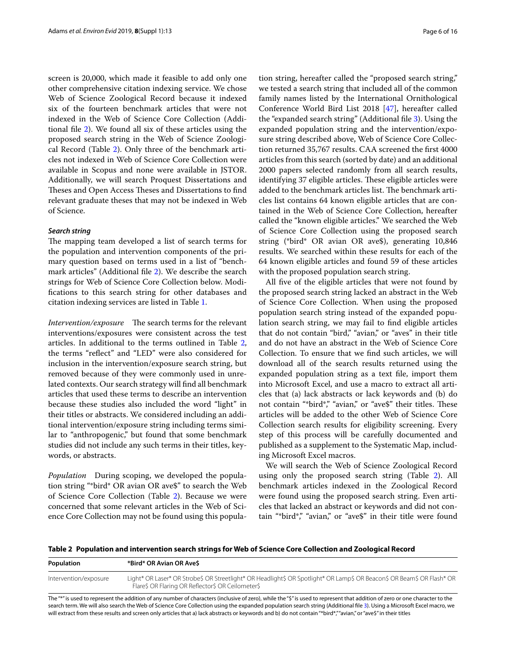screen is 20,000, which made it feasible to add only one other comprehensive citation indexing service. We chose Web of Science Zoological Record because it indexed six of the fourteen benchmark articles that were not indexed in the Web of Science Core Collection (Additional fle [2\)](#page-13-3). We found all six of these articles using the proposed search string in the Web of Science Zoological Record (Table [2](#page-5-0)). Only three of the benchmark articles not indexed in Web of Science Core Collection were available in Scopus and none were available in JSTOR. Additionally, we will search Proquest Dissertations and Theses and Open Access Theses and Dissertations to find relevant graduate theses that may not be indexed in Web of Science.

# *Search string*

The mapping team developed a list of search terms for the population and intervention components of the primary question based on terms used in a list of "benchmark articles" (Additional fle [2](#page-13-3)). We describe the search strings for Web of Science Core Collection below. Modifcations to this search string for other databases and citation indexing services are listed in Table [1.](#page-4-0)

*Intervention/exposure* The search terms for the relevant interventions/exposures were consistent across the test articles. In additional to the terms outlined in Table [2](#page-5-0), the terms "refect" and "LED" were also considered for inclusion in the intervention/exposure search string, but removed because of they were commonly used in unrelated contexts. Our search strategy will fnd all benchmark articles that used these terms to describe an intervention because these studies also included the word "light" in their titles or abstracts. We considered including an additional intervention/exposure string including terms similar to "anthropogenic," but found that some benchmark studies did not include any such terms in their titles, keywords, or abstracts.

*Population* During scoping, we developed the population string "\*bird\* OR avian OR ave\$" to search the Web of Science Core Collection (Table [2\)](#page-5-0). Because we were concerned that some relevant articles in the Web of Science Core Collection may not be found using this population string, hereafter called the "proposed search string," we tested a search string that included all of the common family names listed by the International Ornithological Conference World Bird List 2018 [\[47\]](#page-15-1), hereafter called the "expanded search string" (Additional fle [3\)](#page-13-2). Using the expanded population string and the intervention/exposure string described above, Web of Science Core Collection returned 35,767 results. CAA screened the frst 4000 articles from this search (sorted by date) and an additional 2000 papers selected randomly from all search results, identifying 37 eligible articles. These eligible articles were added to the benchmark articles list. The benchmark articles list contains 64 known eligible articles that are contained in the Web of Science Core Collection, hereafter called the "known eligible articles." We searched the Web of Science Core Collection using the proposed search string (\*bird\* OR avian OR ave\$), generating 10,846 results. We searched within these results for each of the 64 known eligible articles and found 59 of these articles with the proposed population search string.

All fve of the eligible articles that were not found by the proposed search string lacked an abstract in the Web of Science Core Collection. When using the proposed population search string instead of the expanded population search string, we may fail to fnd eligible articles that do not contain "bird," "avian," or "aves" in their title and do not have an abstract in the Web of Science Core Collection. To ensure that we fnd such articles, we will download all of the search results returned using the expanded population string as a text fle, import them into Microsoft Excel, and use a macro to extract all articles that (a) lack abstracts or lack keywords and (b) do not contain "\*bird\*," "avian," or "ave\$" their titles. These articles will be added to the other Web of Science Core Collection search results for eligibility screening. Every step of this process will be carefully documented and published as a supplement to the Systematic Map, including Microsoft Excel macros.

We will search the Web of Science Zoological Record using only the proposed search string (Table [2](#page-5-0)). All benchmark articles indexed in the Zoological Record were found using the proposed search string. Even articles that lacked an abstract or keywords and did not contain "\*bird\*," "avian," or "ave\$" in their title were found

<span id="page-5-0"></span>**Table 2 Population and intervention search strings for Web of Science Core Collection and Zoological Record**

| Population            | *Bird* OR Avian OR Ave\$                                                                                                                                                    |
|-----------------------|-----------------------------------------------------------------------------------------------------------------------------------------------------------------------------|
| Intervention/exposure | Light* OR Laser* OR Strobe\$ OR Streetlight* OR Headlight\$ OR Spotlight* OR Lamp\$ OR Beacon\$ OR Beam\$ OR Flash* OR<br>Flare\$ OR Flaring OR Reflector\$ OR Ceilometer\$ |

The "\*" is used to represent the addition of any number of characters (inclusive of zero), while the "\$" is used to represent that addition of zero or one character to the search term. We will also search the Web of Science Core Collection using the expanded population search string (Additional fle [3](#page-13-2)). Using a Microsoft Excel macro, we will extract from these results and screen only articles that a) lack abstracts or keywords and b) do not contain "\*bird\*,""avian," or "ave\$" in their titles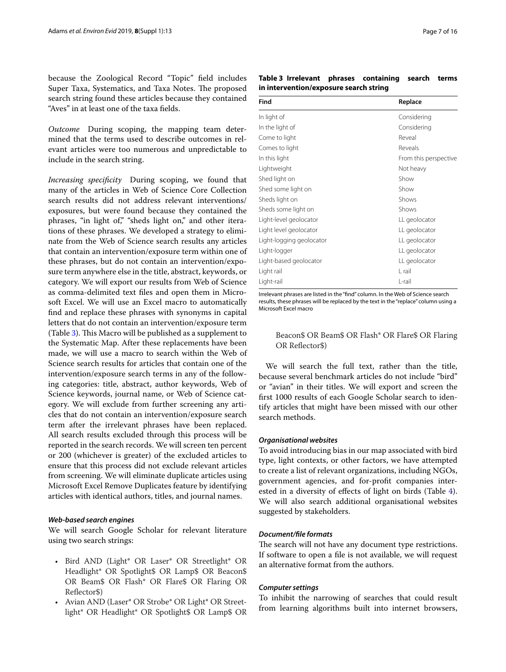because the Zoological Record "Topic" feld includes Super Taxa, Systematics, and Taxa Notes. The proposed search string found these articles because they contained "Aves" in at least one of the taxa felds.

*Outcome* During scoping, the mapping team determined that the terms used to describe outcomes in relevant articles were too numerous and unpredictable to include in the search string.

<span id="page-6-1"></span>*Increasing specifcity* During scoping, we found that many of the articles in Web of Science Core Collection search results did not address relevant interventions/ exposures, but were found because they contained the phrases, "in light of," "sheds light on," and other iterations of these phrases. We developed a strategy to eliminate from the Web of Science search results any articles that contain an intervention/exposure term within one of these phrases, but do not contain an intervention/exposure term anywhere else in the title, abstract, keywords, or category. We will export our results from Web of Science as comma-delimited text fles and open them in Microsoft Excel. We will use an Excel macro to automatically fnd and replace these phrases with synonyms in capital letters that do not contain an intervention/exposure term (Table  $3$ ). This Macro will be published as a supplement to the Systematic Map. After these replacements have been made, we will use a macro to search within the Web of Science search results for articles that contain one of the intervention/exposure search terms in any of the following categories: title, abstract, author keywords, Web of Science keywords, journal name, or Web of Science category. We will exclude from further screening any articles that do not contain an intervention/exposure search term after the irrelevant phrases have been replaced. All search results excluded through this process will be reported in the search records. We will screen ten percent or 200 (whichever is greater) of the excluded articles to ensure that this process did not exclude relevant articles from screening. We will eliminate duplicate articles using Microsoft Excel Remove Duplicates feature by identifying articles with identical authors, titles, and journal names.

#### *Web‑based search engines*

We will search Google Scholar for relevant literature using two search strings:

- Bird AND (Light\* OR Laser\* OR Streetlight\* OR Headlight\* OR Spotlight\$ OR Lamp\$ OR Beacon\$ OR Beam\$ OR Flash\* OR Flare\$ OR Flaring OR Refector\$)
- Avian AND (Laser\* OR Strobe\* OR Light\* OR Streetlight\* OR Headlight\* OR Spotlight\$ OR Lamp\$ OR

<span id="page-6-0"></span>**Table 3 Irrelevant phrases containing search terms in intervention/exposure search string**

| Find                     | Replace               |
|--------------------------|-----------------------|
| In light of              | Considering           |
| In the light of          | Considering           |
| Come to light            | Reveal                |
| Comes to light           | Reveals               |
| In this light            | From this perspective |
| Lightweight              | Not heavy             |
| Shed light on            | Show                  |
| Shed some light on       | Show                  |
| Sheds light on           | Shows                 |
| Sheds some light on      | Shows                 |
| Light-level geolocator   | LL geolocator         |
| Light level geolocator   | LL geolocator         |
| Light-logging geolocator | LL geolocator         |
| Light-logger             | LL geolocator         |
| Light-based geolocator   | LL geolocator         |
| Light rail               | L rail                |
| Light-rail               | L-rail                |

Irrelevant phrases are listed in the "fnd" column. In the Web of Science search results, these phrases will be replaced by the text in the "replace" column using a Microsoft Excel macro

# Beacon\$ OR Beam\$ OR Flash\* OR Flare\$ OR Flaring OR Refector\$)

We will search the full text, rather than the title, because several benchmark articles do not include "bird" or "avian" in their titles. We will export and screen the frst 1000 results of each Google Scholar search to identify articles that might have been missed with our other search methods.

#### *Organisational websites*

To avoid introducing bias in our map associated with bird type, light contexts, or other factors, we have attempted to create a list of relevant organizations, including NGOs, government agencies, and for-proft companies interested in a diversity of efects of light on birds (Table [4](#page-7-0)). We will also search additional organisational websites suggested by stakeholders.

#### *Document/fle formats*

The search will not have any document type restrictions. If software to open a fle is not available, we will request an alternative format from the authors.

# *Computer settings*

To inhibit the narrowing of searches that could result from learning algorithms built into internet browsers,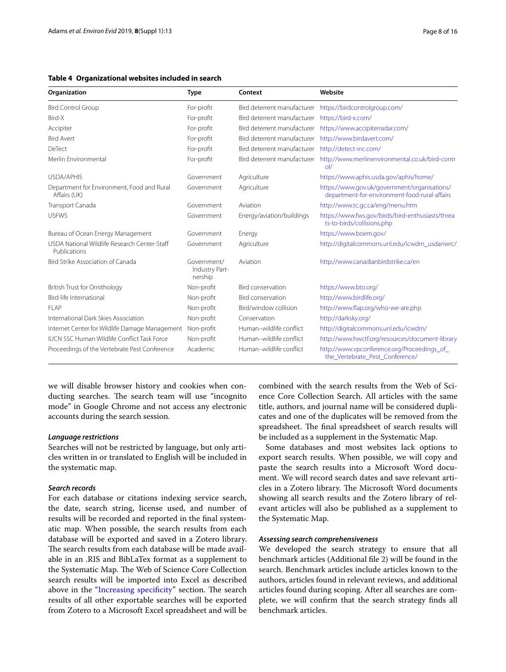#### <span id="page-7-0"></span>**Table 4 Organizational websites included in search**

| Organization                                                 | <b>Type</b>                              | Context                     | Website                                                                                       |
|--------------------------------------------------------------|------------------------------------------|-----------------------------|-----------------------------------------------------------------------------------------------|
| <b>Bird Control Group</b>                                    | For-profit                               | Bird deterrent manufacturer | https://birdcontrolgroup.com/                                                                 |
| Bird-X                                                       | For-profit                               | Bird deterrent manufacturer | https://bird-x.com/                                                                           |
| Accipiter                                                    | For-profit                               | Bird deterrent manufacturer | https://www.accipiterradar.com/                                                               |
| <b>Bird Avert</b>                                            | For-profit                               | Bird deterrent manufacturer | http://www.birdavert.com/                                                                     |
| DeTect                                                       | For-profit                               | Bird deterrent manufacturer | http://detect-inc.com/                                                                        |
| Merlin Environmental                                         | For-profit                               | Bird deterrent manufacturer | http://www.merlinenvironmental.co.uk/bird-contr<br>ol/                                        |
| <b>USDA/APHIS</b>                                            | Government                               | Agriculture                 | https://www.aphis.usda.gov/aphis/home/                                                        |
| Department for Environment, Food and Rural<br>Affairs (UK)   | Government                               | Agriculture                 | https://www.gov.uk/government/organisations/<br>department-for-environment-food-rural-affairs |
| Transport Canada                                             | Government                               | Aviation                    | http://www.tc.gc.ca/eng/menu.htm                                                              |
| <b>USFWS</b>                                                 | Government                               | Energy/aviation/buildings   | https://www.fws.gov/birds/bird-enthusiasts/threa<br>ts-to-birds/collisions.php                |
| Bureau of Ocean Energy Management                            | Government                               | Energy                      | https://www.boem.gov/                                                                         |
| USDA National Wildlife Research Center-Staff<br>Publications | Government                               | Agriculture                 | http://digitalcommons.unl.edu/icwdm_usdanwrc/                                                 |
| Bird Strike Association of Canada                            | Government/<br>Industry Part-<br>nership | Aviation                    | http://www.canadianbirdstrike.ca/en                                                           |
| <b>British Trust for Ornithology</b>                         | Non-profit                               | <b>Bird conservation</b>    | https://www.bto.org/                                                                          |
| Bird-life International                                      | Non-profit                               | <b>Bird conservation</b>    | http://www.birdlife.org/                                                                      |
| FI AP                                                        | Non-profit                               | Bird/window collision       | http://www.flap.org/who-we-are.php                                                            |
| International Dark Skies Association                         | Non-profit                               | Conservation                | http://darksky.org/                                                                           |
| Internet Center for Wildlife Damage Management               | Non-profit                               | Human-wildlife conflict     | http://digitalcommons.unl.edu/icwdm/                                                          |
| IUCN SSC Human Wildlife Conflict Task Force                  | Non-profit                               | Human-wildlife conflict     | http://www.hwctf.org/resources/document-library                                               |
| Proceedings of the Vertebrate Pest Conference                | Academic                                 | Human-wildlife conflict     | http://www.vpconference.org/Proceedings of<br>the_Vertebrate_Pest_Conference/                 |

we will disable browser history and cookies when conducting searches. The search team will use "incognito" mode" in Google Chrome and not access any electronic accounts during the search session.

#### *Language restrictions*

Searches will not be restricted by language, but only articles written in or translated to English will be included in the systematic map.

# *Search records*

For each database or citations indexing service search, the date, search string, license used, and number of results will be recorded and reported in the fnal systematic map. When possible, the search results from each database will be exported and saved in a Zotero library. The search results from each database will be made available in an .RIS and BibLaTex format as a supplement to the Systematic Map. The Web of Science Core Collection search results will be imported into Excel as described above in the "Increasing specificity" section. The search results of all other exportable searches will be exported from Zotero to a Microsoft Excel spreadsheet and will be combined with the search results from the Web of Science Core Collection Search. All articles with the same title, authors, and journal name will be considered duplicates and one of the duplicates will be removed from the spreadsheet. The final spreadsheet of search results will be included as a supplement in the Systematic Map.

Some databases and most websites lack options to export search results. When possible, we will copy and paste the search results into a Microsoft Word document. We will record search dates and save relevant articles in a Zotero library. The Microsoft Word documents showing all search results and the Zotero library of relevant articles will also be published as a supplement to the Systematic Map.

#### *Assessing search comprehensiveness*

We developed the search strategy to ensure that all benchmark articles (Additional fle [2\)](#page-13-3) will be found in the search. Benchmark articles include articles known to the authors, articles found in relevant reviews, and additional articles found during scoping. After all searches are complete, we will confrm that the search strategy fnds all benchmark articles.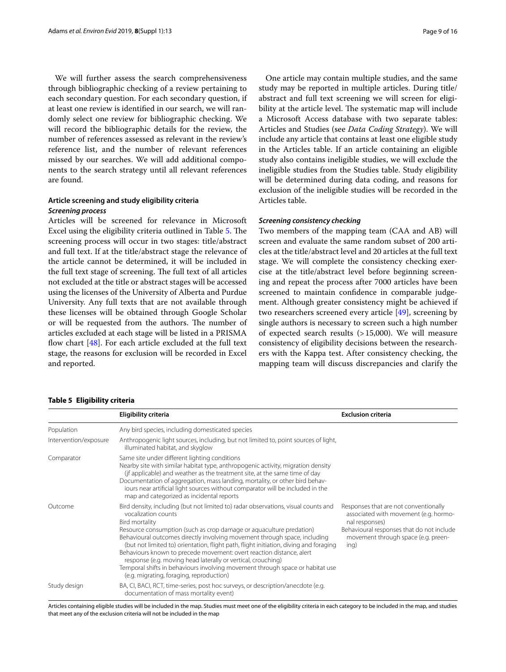We will further assess the search comprehensiveness through bibliographic checking of a review pertaining to each secondary question. For each secondary question, if at least one review is identifed in our search, we will randomly select one review for bibliographic checking. We will record the bibliographic details for the review, the number of references assessed as relevant in the review's reference list, and the number of relevant references missed by our searches. We will add additional components to the search strategy until all relevant references are found.

# **Article screening and study eligibility criteria** *Screening process*

Articles will be screened for relevance in Microsoft Excel using the eligibility criteria outlined in Table [5](#page-8-0). The screening process will occur in two stages: title/abstract and full text. If at the title/abstract stage the relevance of the article cannot be determined, it will be included in the full text stage of screening. The full text of all articles not excluded at the title or abstract stages will be accessed using the licenses of the University of Alberta and Purdue University. Any full texts that are not available through these licenses will be obtained through Google Scholar or will be requested from the authors. The number of articles excluded at each stage will be listed in a PRISMA flow chart  $[48]$  $[48]$ . For each article excluded at the full text stage, the reasons for exclusion will be recorded in Excel and reported.

#### <span id="page-8-0"></span>**Table 5 Eligibility criteria**

One article may contain multiple studies, and the same

study may be reported in multiple articles. During title/ abstract and full text screening we will screen for eligibility at the article level. The systematic map will include a Microsoft Access database with two separate tables: Articles and Studies (see *Data Coding Strategy*). We will include any article that contains at least one eligible study in the Articles table. If an article containing an eligible study also contains ineligible studies, we will exclude the ineligible studies from the Studies table. Study eligibility will be determined during data coding, and reasons for exclusion of the ineligible studies will be recorded in the Articles table.

#### *Screening consistency checking*

Two members of the mapping team (CAA and AB) will screen and evaluate the same random subset of 200 articles at the title/abstract level and 20 articles at the full text stage. We will complete the consistency checking exercise at the title/abstract level before beginning screening and repeat the process after 7000 articles have been screened to maintain confdence in comparable judgement. Although greater consistency might be achieved if two researchers screened every article  $[49]$  $[49]$  $[49]$ , screening by single authors is necessary to screen such a high number of expected search results (>15,000). We will measure consistency of eligibility decisions between the researchers with the Kappa test. After consistency checking, the mapping team will discuss discrepancies and clarify the

|                       | Eligibility criteria                                                                                                                                                                                                                                                                                                                                                                                                                                                                                                                                                                                                                          | <b>Exclusion criteria</b>                                                                                                                                                                    |
|-----------------------|-----------------------------------------------------------------------------------------------------------------------------------------------------------------------------------------------------------------------------------------------------------------------------------------------------------------------------------------------------------------------------------------------------------------------------------------------------------------------------------------------------------------------------------------------------------------------------------------------------------------------------------------------|----------------------------------------------------------------------------------------------------------------------------------------------------------------------------------------------|
| Population            | Any bird species, including domesticated species                                                                                                                                                                                                                                                                                                                                                                                                                                                                                                                                                                                              |                                                                                                                                                                                              |
| Intervention/exposure | Anthropogenic light sources, including, but not limited to, point sources of light,<br>illuminated habitat, and skyglow                                                                                                                                                                                                                                                                                                                                                                                                                                                                                                                       |                                                                                                                                                                                              |
| Comparator            | Same site under different lighting conditions<br>Nearby site with similar habitat type, anthropogenic activity, migration density<br>(if applicable) and weather as the treatment site, at the same time of day<br>Documentation of aggregation, mass landing, mortality, or other bird behav-<br>jours near artificial light sources without comparator will be included in the<br>map and categorized as incidental reports                                                                                                                                                                                                                 |                                                                                                                                                                                              |
| Outcome               | Bird density, including (but not limited to) radar observations, visual counts and<br>vocalization counts<br>Bird mortality<br>Resource consumption (such as crop damage or aquaculture predation)<br>Behavioural outcomes directly involving movement through space, including<br>(but not limited to) orientation, flight path, flight initiation, diving and foraging<br>Behaviours known to precede movement: overt reaction distance, alert<br>response (e.g. moving head laterally or vertical, crouching)<br>Temporal shifts in behaviours involving movement through space or habitat use<br>(e.g. migrating, foraging, reproduction) | Responses that are not conventionally<br>associated with movement (e.g. hormo-<br>nal responses)<br>Behavioural responses that do not include<br>movement through space (e.g. preen-<br>ing) |
| Study design          | BA, CI, BACI, RCT, time-series, post hoc surveys, or description/anecdote (e.g.<br>documentation of mass mortality event)                                                                                                                                                                                                                                                                                                                                                                                                                                                                                                                     |                                                                                                                                                                                              |

Articles containing eligible studies will be included in the map. Studies must meet one of the eligibility criteria in each category to be included in the map, and studies that meet any of the exclusion criteria will not be included in the map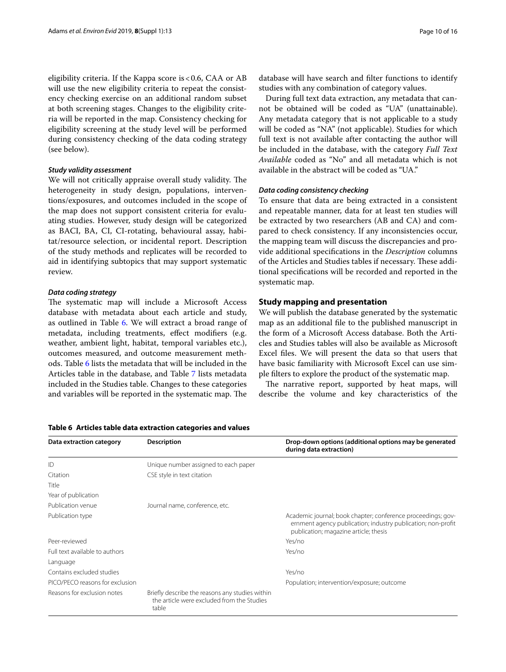eligibility criteria. If the Kappa score is <0.6, CAA or AB will use the new eligibility criteria to repeat the consistency checking exercise on an additional random subset at both screening stages. Changes to the eligibility criteria will be reported in the map. Consistency checking for eligibility screening at the study level will be performed during consistency checking of the data coding strategy (see below).

# *Study validity assessment*

We will not critically appraise overall study validity. The heterogeneity in study design, populations, interventions/exposures, and outcomes included in the scope of the map does not support consistent criteria for evaluating studies. However, study design will be categorized as BACI, BA, CI, CI-rotating, behavioural assay, habitat/resource selection, or incidental report. Description of the study methods and replicates will be recorded to aid in identifying subtopics that may support systematic review.

#### *Data coding strategy*

The systematic map will include a Microsoft Access database with metadata about each article and study, as outlined in Table [6](#page-9-0). We will extract a broad range of metadata, including treatments, effect modifiers (e.g. weather, ambient light, habitat, temporal variables etc.), outcomes measured, and outcome measurement methods. Table [6](#page-9-0) lists the metadata that will be included in the Articles table in the database, and Table [7](#page-10-0) lists metadata included in the Studies table. Changes to these categories and variables will be reported in the systematic map. The

database will have search and flter functions to identify studies with any combination of category values.

During full text data extraction, any metadata that cannot be obtained will be coded as "UA" (unattainable). Any metadata category that is not applicable to a study will be coded as "NA" (not applicable). Studies for which full text is not available after contacting the author will be included in the database, with the category *Full Text Available* coded as "No" and all metadata which is not available in the abstract will be coded as "UA."

# *Data coding consistency checking*

To ensure that data are being extracted in a consistent and repeatable manner, data for at least ten studies will be extracted by two researchers (AB and CA) and compared to check consistency. If any inconsistencies occur, the mapping team will discuss the discrepancies and provide additional specifcations in the *Description* columns of the Articles and Studies tables if necessary. These additional specifcations will be recorded and reported in the systematic map.

# **Study mapping and presentation**

We will publish the database generated by the systematic map as an additional fle to the published manuscript in the form of a Microsoft Access database. Both the Articles and Studies tables will also be available as Microsoft Excel fles. We will present the data so that users that have basic familiarity with Microsoft Excel can use simple flters to explore the product of the systematic map.

The narrative report, supported by heat maps, will describe the volume and key characteristics of the

| Data extraction category        | <b>Description</b>                                                                                     | Drop-down options (additional options may be generated<br>during data extraction)                                                                                     |
|---------------------------------|--------------------------------------------------------------------------------------------------------|-----------------------------------------------------------------------------------------------------------------------------------------------------------------------|
| ID                              | Unique number assigned to each paper                                                                   |                                                                                                                                                                       |
| Citation                        | CSE style in text citation                                                                             |                                                                                                                                                                       |
| Title                           |                                                                                                        |                                                                                                                                                                       |
| Year of publication             |                                                                                                        |                                                                                                                                                                       |
| Publication venue               | Journal name, conference, etc.                                                                         |                                                                                                                                                                       |
| Publication type                |                                                                                                        | Academic journal; book chapter; conference proceedings; gov-<br>ernment agency publication; industry publication; non-profit<br>publication; magazine article; thesis |
| Peer-reviewed                   |                                                                                                        | Yes/no                                                                                                                                                                |
| Full text available to authors  |                                                                                                        | Yes/no                                                                                                                                                                |
| Language                        |                                                                                                        |                                                                                                                                                                       |
| Contains excluded studies       |                                                                                                        | Yes/no                                                                                                                                                                |
| PICO/PECO reasons for exclusion |                                                                                                        | Population; intervention/exposure; outcome                                                                                                                            |
| Reasons for exclusion notes     | Briefly describe the reasons any studies within<br>the article were excluded from the Studies<br>table |                                                                                                                                                                       |

#### <span id="page-9-0"></span>**Table 6 Articles table data extraction categories and values**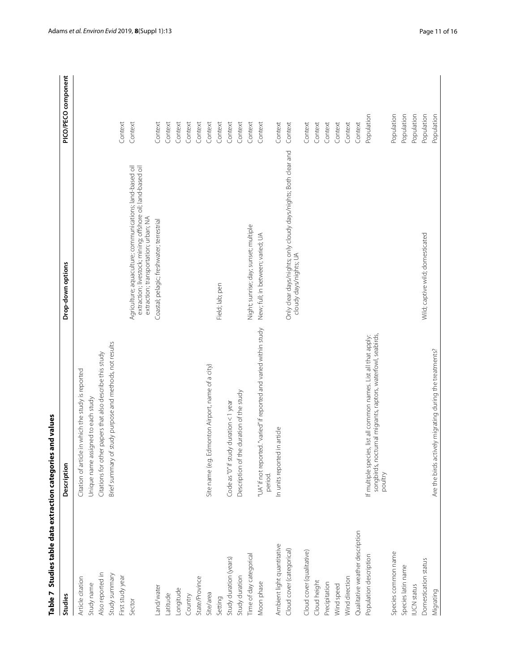| Studies                         | Description                                                                                                                                 | Drop-down options                                                                                                                                                | PICO/PECO component |
|---------------------------------|---------------------------------------------------------------------------------------------------------------------------------------------|------------------------------------------------------------------------------------------------------------------------------------------------------------------|---------------------|
| Article citation                | Citation of article in which the study is reported                                                                                          |                                                                                                                                                                  |                     |
| Study name                      | Unique name assigned to each study                                                                                                          |                                                                                                                                                                  |                     |
| Also reported in                | Citations for other papers that also describe this study                                                                                    |                                                                                                                                                                  |                     |
| Study summary                   | Brief summary of study purpose and methods, not results                                                                                     |                                                                                                                                                                  |                     |
| First study year                |                                                                                                                                             |                                                                                                                                                                  | Context             |
| Sector                          |                                                                                                                                             | Agriculture; aquaculture; communications; land-based oil<br>extraction; livestock; mining; offshore oil; land-based oil<br>extraction; transportation; urban; NA | Context             |
| Land/water                      |                                                                                                                                             | Coastal; pelagic; freshwater; terrestrial                                                                                                                        | Context             |
| Latitude                        |                                                                                                                                             |                                                                                                                                                                  | Context             |
| Longitude                       |                                                                                                                                             |                                                                                                                                                                  | Context             |
| Country                         |                                                                                                                                             |                                                                                                                                                                  | Context             |
| State/Province                  |                                                                                                                                             |                                                                                                                                                                  | Context             |
| Site/area                       | Site name (e.g. Edmonton Airport, name of a city)                                                                                           |                                                                                                                                                                  | Context             |
| Setting                         |                                                                                                                                             | Field; lab; pen                                                                                                                                                  | Context             |
| Study duration (years)          | Code as "0" if study duration <1 year                                                                                                       |                                                                                                                                                                  | Context             |
| Study duration                  | Description of the duration of the study                                                                                                    |                                                                                                                                                                  | Context             |
| Time of day categorical         |                                                                                                                                             | Night; sunrise; day; sunset; multiple                                                                                                                            | Context             |
| Moon phase                      | ed. "varied" if reported and varied within study.<br>"UA" if not report<br>period.                                                          | New; full; in between; varied; UA                                                                                                                                | Context             |
| Ambient light quantitative      | In units reported in article                                                                                                                |                                                                                                                                                                  | Context             |
| Cloud cover (categorical)       |                                                                                                                                             | Only clear days/nights; only cloudy days/nights; Both clear and<br>cloudy days/nights; UA                                                                        | Context             |
| Cloud cover (qualitative)       |                                                                                                                                             |                                                                                                                                                                  | Context             |
| Cloud height                    |                                                                                                                                             |                                                                                                                                                                  | Context             |
| Precipitation                   |                                                                                                                                             |                                                                                                                                                                  | Context             |
| Wind speed                      |                                                                                                                                             |                                                                                                                                                                  | Context             |
| Wind direction                  |                                                                                                                                             |                                                                                                                                                                  | Context             |
| Qualitative weather description |                                                                                                                                             |                                                                                                                                                                  | Context             |
| Population description          | songbirds, nocturnal migrants, raptors, waterfowl, seabirds,<br>If multiple species, list all common names. List all that apply:<br>poultry |                                                                                                                                                                  | Population          |
| Species common name             |                                                                                                                                             |                                                                                                                                                                  | Population          |
| Species latin name              |                                                                                                                                             |                                                                                                                                                                  | Population          |
| <b>IUCN</b> status              |                                                                                                                                             |                                                                                                                                                                  | Population          |
| Domestication status            |                                                                                                                                             | Wild; captive wild; domesticated                                                                                                                                 | Population          |
| Migrating                       | Are the birds actively migrating during the treatments?                                                                                     |                                                                                                                                                                  | Population          |

**Table 7 Studies table data extraction categories and values**

<span id="page-10-0"></span>Table 7 Studies table data extraction categories and values

Adams *et al. Environ Evid* 2019,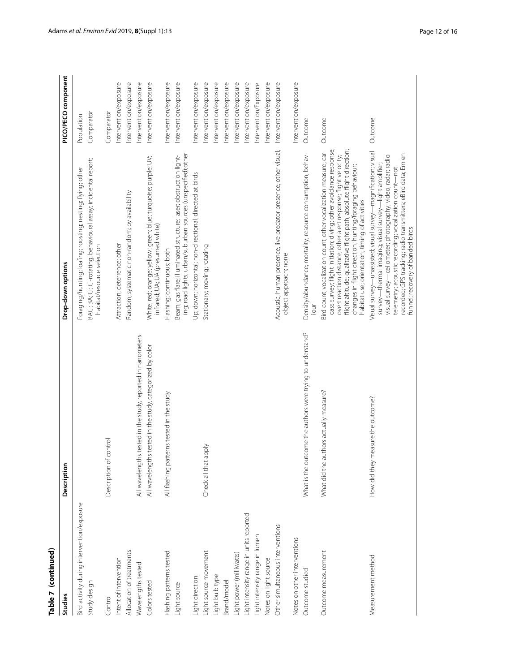| Ľ |
|---|
|   |
|   |
| r |
|   |
|   |
|   |
|   |
|   |
|   |

| Studies                                    | Description                                                 | Drop-down options                                                                                                                                                                                                                                                                                                                                                                              | PICO/PECO component   |
|--------------------------------------------|-------------------------------------------------------------|------------------------------------------------------------------------------------------------------------------------------------------------------------------------------------------------------------------------------------------------------------------------------------------------------------------------------------------------------------------------------------------------|-----------------------|
| Bird activity during intervention/exposure |                                                             | Foraging/hunting; loafing; roosting; nesting; flying; other                                                                                                                                                                                                                                                                                                                                    | Population            |
| Study design                               |                                                             | BACI; BA; CI-rotating; behavioural assay; incidental report;<br>habitat/resource selection                                                                                                                                                                                                                                                                                                     | Comparator            |
| Control                                    | Description of control                                      |                                                                                                                                                                                                                                                                                                                                                                                                | Comparator            |
| Intent of intervention                     |                                                             | Attraction; deterrence; other                                                                                                                                                                                                                                                                                                                                                                  | Intervention/exposure |
| Allocation of treatments                   |                                                             | Random; systematic non-random; by availability                                                                                                                                                                                                                                                                                                                                                 | Intervention/exposure |
| Wavelengths tested                         | All wavelengths tested in the study, reported in nanometers |                                                                                                                                                                                                                                                                                                                                                                                                | Intervention/exposure |
| Colors tested                              | All wavelengths tested in the study, categorized by color   | White; red; orange; yellow; green; blue; turquoise; purple; UV;<br>infrared; UA; UA (presumed white)                                                                                                                                                                                                                                                                                           | Intervention/exposure |
| Flashing patterns tested                   | All flashing patterns tested in the study                   | Flashing; continuous; both                                                                                                                                                                                                                                                                                                                                                                     | Intervention/exposure |
| Light source                               |                                                             | ing; road lights; urban/suburban sources (unspecified);other<br>Beam; gas flare; illuminated structure; laser; obstruction light-                                                                                                                                                                                                                                                              | Intervention/exposure |
| Light direction                            |                                                             | Up; down; horizontal; non-directional; directed at birds                                                                                                                                                                                                                                                                                                                                       | Intervention/exposure |
| Light source movement                      | Check all that apply                                        | Stationary; moving; rotating                                                                                                                                                                                                                                                                                                                                                                   | Intervention/exposure |
| Light bulb type                            |                                                             |                                                                                                                                                                                                                                                                                                                                                                                                | Intervention/exposure |
| Brand/model                                |                                                             |                                                                                                                                                                                                                                                                                                                                                                                                | Intervention/exposure |
| Light power (milliwatts)                   |                                                             |                                                                                                                                                                                                                                                                                                                                                                                                | Intervention/exposure |
| Light intensity range in units reported    |                                                             |                                                                                                                                                                                                                                                                                                                                                                                                | Intervention/exposure |
| Light intensity range in lumen             |                                                             |                                                                                                                                                                                                                                                                                                                                                                                                | Intervention/Exposure |
| Notes on light source                      |                                                             |                                                                                                                                                                                                                                                                                                                                                                                                | Intervention/exposure |
| Other simultaneous interventions           |                                                             | Acoustic; human presence; live predator presence; other visual;<br>object approach; none                                                                                                                                                                                                                                                                                                       | Intervention/exposure |
| Notes on other interventions               |                                                             |                                                                                                                                                                                                                                                                                                                                                                                                | Intervention/exposure |
| Outcome studied                            | What is the outcome the authors were trying to understand?  | Density/abundance; mortality; resource consumption; behav-                                                                                                                                                                                                                                                                                                                                     | Outcome               |
| Outcome measurement                        | What did the authors actually measure?                      | flight altitude; qualitative flight path; absolute flight direction;<br>cass survey; flight initiation; diving; other avoidance response;<br>Bird count; vocalization count; other vocalization measure; car-<br>overt reaction distance; other alert response; flight velocity;<br>changes in flight direction; hunting/foraging behaviour;<br>habitat use; orientation; timing of activities | Outcome               |
| Measurement method                         | How did they measure the outcome?                           | Visual survey—unassisted; visual survey—magnification; visual<br>recorded; GPS tracking; radio transmitters; eBird data; Emlen<br>visual survey—ceilometer; photography; video; radar; radio<br>survey—thermal imaging; visual survey—light amplifier;<br>telemetry; acoustic recording; vocalization count-not<br>funnel; recovery of banded birds                                            | Outcome               |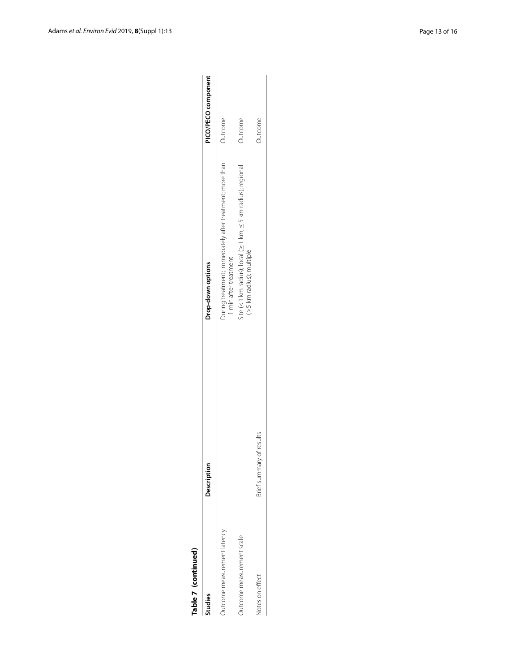| r |
|---|
|   |
|   |
|   |
|   |
|   |
|   |

| Table 7 (continued)         |                          |                                                                                                                   |                     |
|-----------------------------|--------------------------|-------------------------------------------------------------------------------------------------------------------|---------------------|
| Studies                     | Description              | Drop-down options                                                                                                 | PICO/PECO component |
| Outcome measurement latency |                          | During treatment; immediately after treatment; more than<br>1 min after treatment                                 | Outcome             |
| Outcome measurement scale   |                          | $\frac{1}{2}$ ite (<1 km radius); local ( $\geq$ 1 km, $\leq$ 5 km radius); regional<br>(> 5 km radius); multiple | Outcome             |
| Notes on effect             | Brief summary of results |                                                                                                                   | Outcome             |
|                             |                          |                                                                                                                   |                     |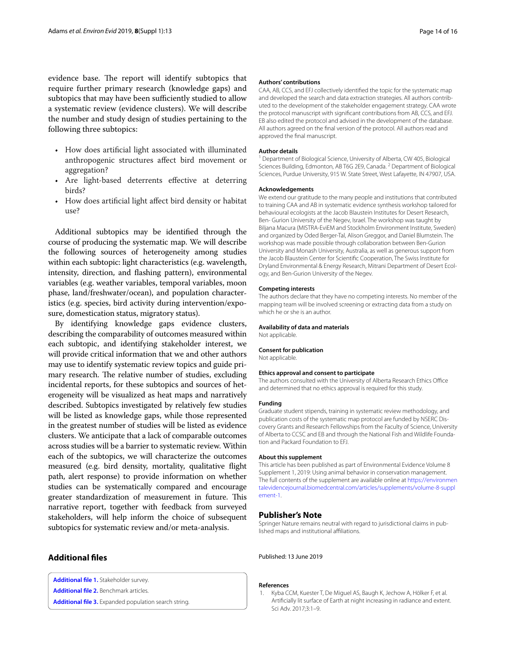evidence base. The report will identify subtopics that require further primary research (knowledge gaps) and subtopics that may have been sufficiently studied to allow a systematic review (evidence clusters). We will describe the number and study design of studies pertaining to the following three subtopics:

- How does artifcial light associated with illuminated anthropogenic structures afect bird movement or aggregation?
- Are light-based deterrents effective at deterring birds?
- How does artifcial light afect bird density or habitat use?

Additional subtopics may be identifed through the course of producing the systematic map. We will describe the following sources of heterogeneity among studies within each subtopic: light characteristics (e.g. wavelength, intensity, direction, and fashing pattern), environmental variables (e.g. weather variables, temporal variables, moon phase, land/freshwater/ocean), and population characteristics (e.g. species, bird activity during intervention/exposure, domestication status, migratory status).

By identifying knowledge gaps evidence clusters, describing the comparability of outcomes measured within each subtopic, and identifying stakeholder interest, we will provide critical information that we and other authors may use to identify systematic review topics and guide primary research. The relative number of studies, excluding incidental reports, for these subtopics and sources of heterogeneity will be visualized as heat maps and narratively described. Subtopics investigated by relatively few studies will be listed as knowledge gaps, while those represented in the greatest number of studies will be listed as evidence clusters. We anticipate that a lack of comparable outcomes across studies will be a barrier to systematic review. Within each of the subtopics, we will characterize the outcomes measured (e.g. bird density, mortality, qualitative fight path, alert response) to provide information on whether studies can be systematically compared and encourage greater standardization of measurement in future. This narrative report, together with feedback from surveyed stakeholders, will help inform the choice of subsequent subtopics for systematic review and/or meta-analysis.

# **Additional fles**

<span id="page-13-3"></span><span id="page-13-1"></span>**[Additional fle](https://doi.org/10.1186/s13750-019-0155-5) 1.** Stakeholder survey.

<span id="page-13-2"></span>**[Additional fle](https://doi.org/10.1186/s13750-019-0155-5) 2.** Benchmark articles.

**[Additional fle](https://doi.org/10.1186/s13750-019-0155-5) 3.** Expanded population search string.

#### **Authors' contributions**

CAA, AB, CCS, and EFJ collectively identifed the topic for the systematic map and developed the search and data extraction strategies. All authors contributed to the development of the stakeholder engagement strategy. CAA wrote the protocol manuscript with signifcant contributions from AB, CCS, and EFJ. EB also edited the protocol and advised in the development of the database. All authors agreed on the fnal version of the protocol. All authors read and approved the fnal manuscript.

#### **Author details**

<sup>1</sup> Department of Biological Science, University of Alberta, CW 405, Biological Sciences Building, Edmonton, AB T6G 2E9, Canada.<sup>2</sup> Department of Biological Sciences, Purdue University, 915 W. State Street, West Lafayette, IN 47907, USA.

#### **Acknowledgements**

We extend our gratitude to the many people and institutions that contributed to training CAA and AB in systematic evidence synthesis workshop tailored for behavioural ecologists at the Jacob Blaustein Institutes for Desert Research, Ben- Gurion University of the Negev, Israel. The workshop was taught by Biljana Macura (MISTRA-EviEM and Stockholm Environment Institute, Sweden) and organized by Oded Berger-Tal, Alison Greggor, and Daniel Blumstein. The workshop was made possible through collaboration between Ben-Gurion University and Monash University, Australia, as well as generous support from the Jacob Blaustein Center for Scientifc Cooperation, The Swiss Institute for Dryland Environmental & Energy Research, Mitrani Department of Desert Ecology, and Ben-Gurion University of the Negev.

#### **Competing interests**

The authors declare that they have no competing interests. No member of the mapping team will be involved screening or extracting data from a study on which he or she is an author.

#### **Availability of data and materials**

Not applicable.

#### **Consent for publication**

Not applicable.

#### **Ethics approval and consent to participate**

The authors consulted with the University of Alberta Research Ethics Office and determined that no ethics approval is required for this study.

#### **Funding**

Graduate student stipends, training in systematic review methodology, and publication costs of the systematic map protocol are funded by NSERC Discovery Grants and Research Fellowships from the Faculty of Science, University of Alberta to CCSC and EB and through the National Fish and Wildlife Founda‑ tion and Packard Foundation to EFJ.

#### **About this supplement**

This article has been published as part of Environmental Evidence Volume 8 Supplement 1, 2019: Using animal behavior in conservation management. The full contents of the supplement are available online at [https://environmen](https://environmentalevidencejournal.biomedcentral.com/articles/supplements/volume-8-supplement-1) [talevidencejournal.biomedcentral.com/articles/supplements/volume-8-suppl](https://environmentalevidencejournal.biomedcentral.com/articles/supplements/volume-8-supplement-1) [ement-1](https://environmentalevidencejournal.biomedcentral.com/articles/supplements/volume-8-supplement-1).

#### **Publisher's Note**

Springer Nature remains neutral with regard to jurisdictional claims in published maps and institutional afliations.

Published: 13 June 2019

#### **References**

<span id="page-13-0"></span>1. Kyba CCM, Kuester T, De Miguel AS, Baugh K, Jechow A, Hölker F, et al. Artifcially lit surface of Earth at night increasing in radiance and extent. Sci Adv. 2017;3:1–9.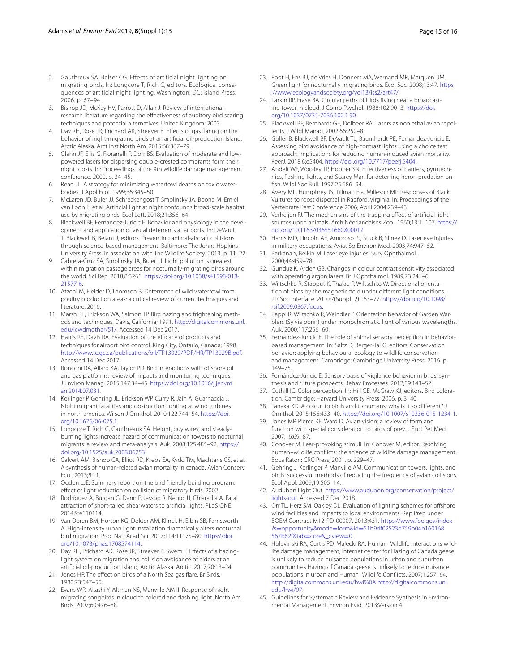- <span id="page-14-0"></span>2. Gauthreux SA, Belser CG. Effects of artificial night lighting on migrating birds. In: Longcore T, Rich C, editors. Ecological consequences of artificial night lighting. Washington, DC: Island Press; 2006. p. 67–94.
- <span id="page-14-1"></span>3. Bishop JD, McKay HV, Parrott D, Allan J. Review of international research literature regarding the efectiveness of auditory bird scaring techniques and potential alternatives. United Kingdom; 2003.
- <span id="page-14-2"></span>4. Day RH, Rose JR, Prichard AK, Streever B. Efects of gas faring on the behavior of night-migrating birds at an artifcial oil-production Island, Arctic Alaska. Arct Inst North Am. 2015;68:367–79.
- <span id="page-14-3"></span>5. Glahn JF, Ellis G, Fioranelli P, Dorr BS. Evaluation of moderate and lowpowered lasers for dispersing double-crested cormorants form their night roosts. In: Proceedings of the 9th wildlife damage management conference. 2000. p. 34–45.
- <span id="page-14-4"></span>6. Read JL. A strategy for minimizing waterfowl deaths on toxic waterbodies. J Appl Ecol. 1999;36:345–50.
- <span id="page-14-5"></span>7. McLaren JD, Buler JJ, Schreckengost T, Smolinsky JA, Boone M, Emiel van Loon E, et al. Artifcial light at night confounds broad-scale habitat use by migrating birds. Ecol Lett. 2018;21:356–64.
- <span id="page-14-6"></span>8. Blackwell BF, Fernandez-Juricic E. Behavior and physiology in the development and application of visual deterrents at airports. In: DeVault T, Blackwell B, Belant J, editors. Preventing animal-aircraft collisions through science-based management. Baltimore: The Johns Hopkins University Press, in association with The Wildlife Society; 2013. p. 11–22.
- <span id="page-14-7"></span>9. Cabrera-Cruz SA, Smolinsky JA, Buler JJ. Light pollution is greatest within migration passage areas for nocturnally-migrating birds around the world. Sci Rep. 2018;8:3261. [https://doi.org/10.1038/s41598-018-](https://doi.org/10.1038/s41598-018-21577-6)[21577-6.](https://doi.org/10.1038/s41598-018-21577-6)
- <span id="page-14-8"></span>10. Atzeni M, Fielder D, Thomson B. Deterrence of wild waterfowl from poultry production areas: a critical review of current techniques and literature. 2016.
- <span id="page-14-9"></span>11. Marsh RE, Erickson WA, Salmon TP. Bird hazing and frightening methods and techniques. Davis, California; 1991. [http://digitalcommons.unl.](http://digitalcommons.unl.edu/icwdmother/51/) [edu/icwdmother/51/](http://digitalcommons.unl.edu/icwdmother/51/). Accessed 14 Dec 2017.
- <span id="page-14-10"></span>12. Harris RE, Davis RA. Evaluation of the efficacy of products and techniques for airport bird control. King City, Ontario, Canada; 1998. <http://www.tc.gc.ca/publications/bil/TP13029/PDF/HR/TP13029B.pdf>. Accessed 14 Dec 2017.
- <span id="page-14-11"></span>13. Ronconi RA, Allard KA, Taylor PD. Bird interactions with offshore oil and gas platforms: review of impacts and monitoring techniques. J Environ Manag. 2015;147:34–45. [https://doi.org/10.1016/j.jenvm](https://doi.org/10.1016/j.jenvman.2014.07.031) [an.2014.07.031](https://doi.org/10.1016/j.jenvman.2014.07.031).
- <span id="page-14-12"></span>14. Kerlinger P, Gehring JL, Erickson WP, Curry R, Jain A, Guarnaccia J. Night migrant fatalities and obstruction lighting at wind turbines in north america. Wilson J Ornithol. 2010;122:744–54. [https://doi.](https://doi.org/10.1676/06-075.1) [org/10.1676/06-075.1](https://doi.org/10.1676/06-075.1).
- <span id="page-14-13"></span>15. Longcore T, Rich C, Gauthreaux SA. Height, guy wires, and steadyburning lights increase hazard of communication towers to nocturnal migrants: a review and meta-analysis. Auk. 2008;125:485–92. [https://](https://doi.org/10.1525/auk.2008.06253) [doi.org/10.1525/auk.2008.06253.](https://doi.org/10.1525/auk.2008.06253)
- 16. Calvert AM, Bishop CA, Elliot RD, Krebs EA, Kydd TM, Machtans CS, et al. A synthesis of human-related avian mortality in canada. Avian Conserv Ecol. 2013;8:11.
- <span id="page-14-15"></span>17. Ogden LJE. Summary report on the bird friendly building program: efect of light reduction on collision of migratory birds. 2002.
- <span id="page-14-14"></span>18. Rodríguez A, Burgan G, Dann P, Jessop R, Negro JJ, Chiaradia A. Fatal attraction of short-tailed shearwaters to artifcial lights. PLoS ONE. 2014;9:e110114.
- <span id="page-14-16"></span>19. Van Doren BM, Horton KG, Dokter AM, Klinck H, Elbin SB, Farnsworth A. High-intensity urban light installation dramatically alters nocturnal bird migration. Proc Natl Acad Sci. 2017;114:11175–80. [https://doi.](https://doi.org/10.1073/pnas.1708574114) [org/10.1073/pnas.1708574114](https://doi.org/10.1073/pnas.1708574114).
- <span id="page-14-17"></span>20. Day RH, Prichard AK, Rose JR, Streever B, Swem T. Effects of a hazinglight system on migration and collision avoidance of eiders at an artifcial oil-production Island, Arctic Alaska. Arctic. 2017;70:13–24.
- <span id="page-14-18"></span>21. Jones HP. The effect on birds of a North Sea gas flare. Br Birds. 1980;73:547–55.
- <span id="page-14-19"></span>22. Evans WR, Akashi Y, Altman NS, Manville AM II. Response of nightmigrating songbirds in cloud to colored and fashing light. North Am Birds. 2007;60:476–88.
- <span id="page-14-20"></span>23. Poot H, Ens BJ, de Vries H, Donners MA, Wernand MR, Marqueni JM. Green light for nocturnally migrating birds. Ecol Soc. 2008;13:47. [https](https://www.ecologyandsociety.org/vol13/iss2/art47/) [://www.ecologyandsociety.org/vol13/iss2/art47/](https://www.ecologyandsociety.org/vol13/iss2/art47/).
- <span id="page-14-21"></span>24. Larkin RP, Frase BA. Circular paths of birds flying near a broadcasting tower in cloud. J Comp Psychol. 1988;102:90–3. [https://doi.](https://doi.org/10.1037/0735-7036.102.1.90) [org/10.1037/0735-7036.102.1.90](https://doi.org/10.1037/0735-7036.102.1.90).
- <span id="page-14-22"></span>25. Blackwell BF, Bernhardt GE, Dolbeer RA. Lasers as nonlethal avian repellents. J Wildl Manag. 2002;66:250–8.
- <span id="page-14-23"></span>26. Goller B, Blackwell BF, DeVault TL, Baumhardt PE, Fernández-Juricic E. Assessing bird avoidance of high-contrast lights using a choice test approach: implications for reducing human-induced avian mortality. PeerJ. 2018;6:e5404. <https://doi.org/10.7717/peerj.5404>.
- <span id="page-14-24"></span>27. Andelt WF, Woolley TP, Hopper SN. Effectiveness of barriers, pyrotechnics, fashing lights, and Scarey Man for deterring heron predation on fsh. Wildl Soc Bull. 1997;25:686–94.
- <span id="page-14-25"></span>28. Avery ML, Humphrey JS, Tillman E a, Milleson MP. Responses of Black Vultures to roost dispersal in Radford, Virginia. In: Proceedings of the Vertebrate Pest Conference 2006; April 2004:239–43.
- <span id="page-14-28"></span>29. Verheijen FJ. The mechanisms of the trapping efect of artifcial light sources upon animals. Arch Néerlandaises Zool. 1960;13:1–107. [https://](https://doi.org/10.1163/036551660X00017) [doi.org/10.1163/036551660X00017](https://doi.org/10.1163/036551660X00017).
- <span id="page-14-26"></span>30. Harris MD, Lincoln AE, Amoroso PJ, Stuck B, Sliney D. Laser eye injuries in military occupations. Aviat Sp Environ Med. 2003;74:947–52.
- 31. Barkana Y, Belkin M. Laser eye injuries. Surv Ophthalmol. 2000;44:459–78.
- <span id="page-14-27"></span>32. Gunduz K, Arden GB. Changes in colour contrast sensitivity associated with operating argon lasers. Br J Ophthalmol. 1989;73:241–6.
- <span id="page-14-29"></span>33. Wiltschko R, Stapput K, Thalau P, Wiltschko W. Directional orientation of birds by the magnetic feld under diferent light conditions. J R Soc Interface. 2010;7(Suppl\_2):163–77. [https://doi.org/10.1098/](https://doi.org/10.1098/rsif.2009.0367.focus) [rsif.2009.0367.focus](https://doi.org/10.1098/rsif.2009.0367.focus).
- <span id="page-14-30"></span>34. Rappl R, Wiltschko R, Weindler P. Orientation behavior of Garden Warblers (Sylvia borin) under monochromatic light of various wavelengths. Auk. 2000;117:256–60.
- <span id="page-14-31"></span>35. Fernandez-Juricic E. The role of animal sensory perception in behaviorbased management. In: Saltz D, Berger-Tal O, editors. Conservation behavior: applying behavioural ecology to wildlife conservation and management. Cambridge: Cambridge University Press; 2016. p. 149–75.
- <span id="page-14-32"></span>36. Fernández-Juricic E. Sensory basis of vigilance behavior in birds: synthesis and future prospects. Behav Processes. 2012;89:143–52.
- 37. Cuthill IC. Color perception. In: Hill GE, McGraw KJ, editors. Bird coloration. Cambridge: Harvard University Press; 2006. p. 3–40.
- 38. Tanaka KD. A colour to birds and to humans: why is it so diferent? J Ornithol. 2015;156:433–40. [https://doi.org/10.1007/s10336-015-1234-1.](https://doi.org/10.1007/s10336-015-1234-1)
- <span id="page-14-33"></span>39. Jones MP, Pierce KE, Ward D. Avian vision: a review of form and function with special consideration to birds of prey. J Exot Pet Med. 2007;16:69–87.
- <span id="page-14-34"></span>40. Conover M. Fear-provoking stimuli. In: Conover M, editor. Resolving human–wildlife conficts: the science of wildlife damage management. Boca Raton: CRC Press; 2001. p. 229–47.
- <span id="page-14-35"></span>41. Gehring J, Kerlinger P, Manville AM. Communication towers, lights, and birds: successful methods of reducing the frequency of avian collisions. Ecol Appl. 2009;19:505–14.
- <span id="page-14-36"></span>42. Audubon Light Out. [https://www.audubon.org/conservation/project/](https://www.audubon.org/conservation/project/lights-out) [lights-out.](https://www.audubon.org/conservation/project/lights-out) Accessed 7 Dec 2018.
- <span id="page-14-37"></span>43. Orr TL, Herz SM, Oakley DL. Evaluation of lighting schemes for offshore wind facilities and impacts to local environments. Rep Prep under BOEM Contract M12-PD-00007. 2013;431. [https://www.fbo.gov/index](https://www.fbo.gov/index%3fs%3dopportunity%26mode%3dform%26id%3d51b9df02523d759b04b160168567b62f%26tab%3dcore%26_cview%3d0) ?s=opportunity&mode=form&id=[51b9df02523d759b04b160168](https://www.fbo.gov/index%3fs%3dopportunity%26mode%3dform%26id%3d51b9df02523d759b04b160168567b62f%26tab%3dcore%26_cview%3d0) 567b62f&tab=core&\_cview=0.
- <span id="page-14-38"></span>44. [Holevinski RA, Curtis PD, Maleck](https://www.fbo.gov/index%3fs%3dopportunity%26mode%3dform%26id%3d51b9df02523d759b04b160168567b62f%26tab%3dcore%26_cview%3d0)i RA. Human-Wildlife interactions wildlife damage management, internet center for Hazing of Canada geese is unlikely to reduce nuisance populations in urban and suburban communities Hazing of Canada geese is unlikely to reduce nuisance populations in urban and Human–Wildlife Conficts. 2007;1:257–64. [http://digitalcommons.unl.edu/hwi%0A](http://digitalcommons.unl.edu/hwi%250A) [http://digitalcommons.unl.](http://digitalcommons.unl.edu/hwi/97) [edu/hwi/97.](http://digitalcommons.unl.edu/hwi/97)
- <span id="page-14-39"></span>45. Guidelines for Systematic Review and Evidence Synthesis in Environmental Management. Environ Evid. 2013;Version 4.